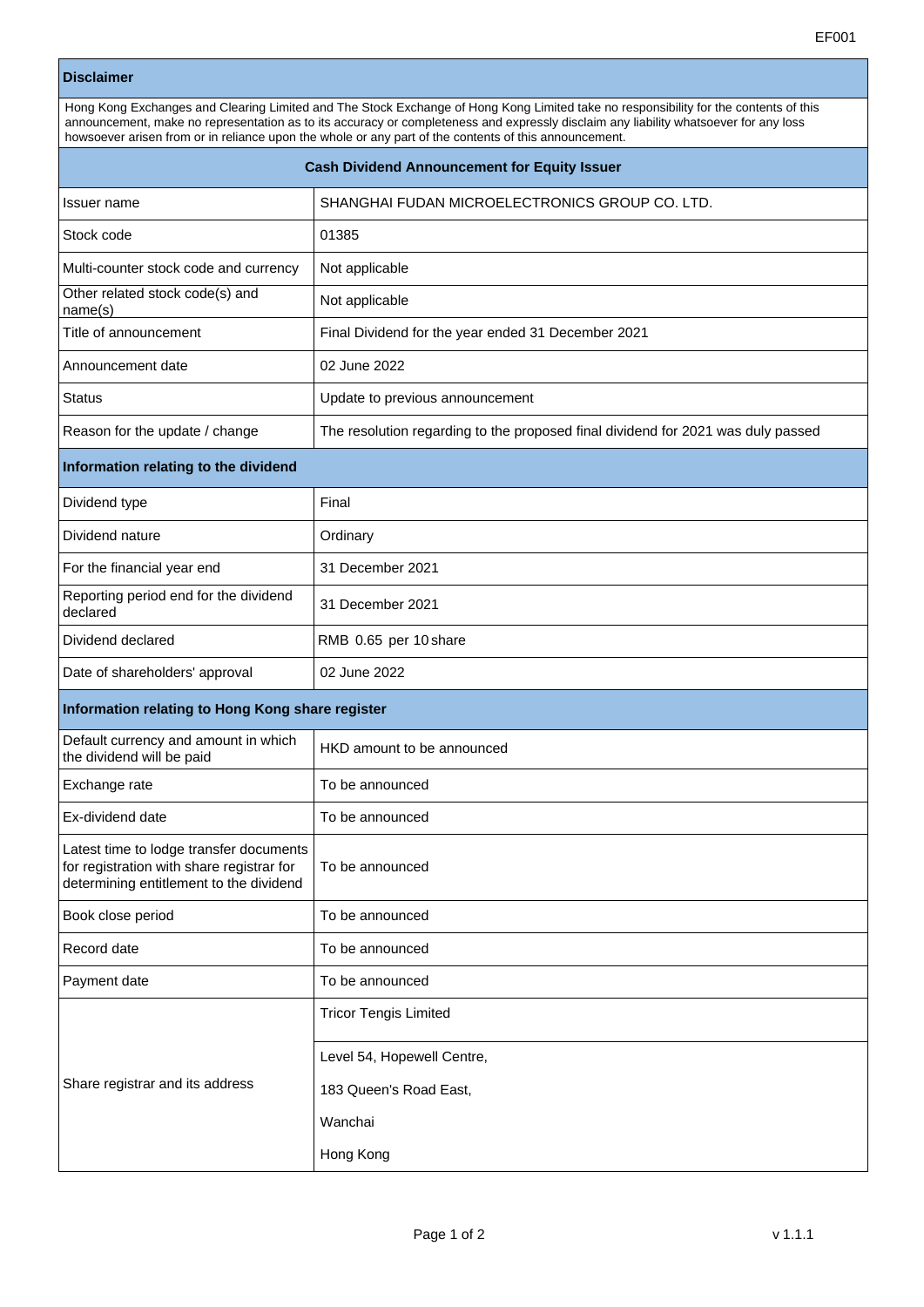## **Disclaimer**

| Hong Kong Exchanges and Clearing Limited and The Stock Exchange of Hong Kong Limited take no responsibility for the contents of this<br>announcement, make no representation as to its accuracy or completeness and expressly disclaim any liability whatsoever for any loss<br>howsoever arisen from or in reliance upon the whole or any part of the contents of this announcement. |                                                                                  |  |
|---------------------------------------------------------------------------------------------------------------------------------------------------------------------------------------------------------------------------------------------------------------------------------------------------------------------------------------------------------------------------------------|----------------------------------------------------------------------------------|--|
| <b>Cash Dividend Announcement for Equity Issuer</b>                                                                                                                                                                                                                                                                                                                                   |                                                                                  |  |
| Issuer name                                                                                                                                                                                                                                                                                                                                                                           | SHANGHAI FUDAN MICROELECTRONICS GROUP CO. LTD.                                   |  |
| Stock code                                                                                                                                                                                                                                                                                                                                                                            | 01385                                                                            |  |
| Multi-counter stock code and currency                                                                                                                                                                                                                                                                                                                                                 | Not applicable                                                                   |  |
| Other related stock code(s) and<br>name(s)                                                                                                                                                                                                                                                                                                                                            | Not applicable                                                                   |  |
| Title of announcement                                                                                                                                                                                                                                                                                                                                                                 | Final Dividend for the year ended 31 December 2021                               |  |
| Announcement date                                                                                                                                                                                                                                                                                                                                                                     | 02 June 2022                                                                     |  |
| Status                                                                                                                                                                                                                                                                                                                                                                                | Update to previous announcement                                                  |  |
| Reason for the update / change                                                                                                                                                                                                                                                                                                                                                        | The resolution regarding to the proposed final dividend for 2021 was duly passed |  |
| Information relating to the dividend                                                                                                                                                                                                                                                                                                                                                  |                                                                                  |  |
| Dividend type                                                                                                                                                                                                                                                                                                                                                                         | Final                                                                            |  |
| Dividend nature                                                                                                                                                                                                                                                                                                                                                                       | Ordinary                                                                         |  |
| For the financial year end                                                                                                                                                                                                                                                                                                                                                            | 31 December 2021                                                                 |  |
| Reporting period end for the dividend<br>declared                                                                                                                                                                                                                                                                                                                                     | 31 December 2021                                                                 |  |
| Dividend declared                                                                                                                                                                                                                                                                                                                                                                     | RMB 0.65 per 10 share                                                            |  |
| Date of shareholders' approval                                                                                                                                                                                                                                                                                                                                                        | 02 June 2022                                                                     |  |
| Information relating to Hong Kong share register                                                                                                                                                                                                                                                                                                                                      |                                                                                  |  |
| Default currency and amount in which<br>the dividend will be paid                                                                                                                                                                                                                                                                                                                     | HKD amount to be announced                                                       |  |
| Exchange rate                                                                                                                                                                                                                                                                                                                                                                         | To be announced                                                                  |  |
| Ex-dividend date                                                                                                                                                                                                                                                                                                                                                                      | To be announced                                                                  |  |
| Latest time to lodge transfer documents<br>for registration with share registrar for<br>determining entitlement to the dividend                                                                                                                                                                                                                                                       | To be announced                                                                  |  |
| Book close period                                                                                                                                                                                                                                                                                                                                                                     | To be announced                                                                  |  |
| Record date                                                                                                                                                                                                                                                                                                                                                                           | To be announced                                                                  |  |
| Payment date                                                                                                                                                                                                                                                                                                                                                                          | To be announced                                                                  |  |
| Share registrar and its address                                                                                                                                                                                                                                                                                                                                                       | <b>Tricor Tengis Limited</b>                                                     |  |
|                                                                                                                                                                                                                                                                                                                                                                                       | Level 54, Hopewell Centre,                                                       |  |
|                                                                                                                                                                                                                                                                                                                                                                                       | 183 Queen's Road East,                                                           |  |
|                                                                                                                                                                                                                                                                                                                                                                                       | Wanchai                                                                          |  |
|                                                                                                                                                                                                                                                                                                                                                                                       | Hong Kong                                                                        |  |